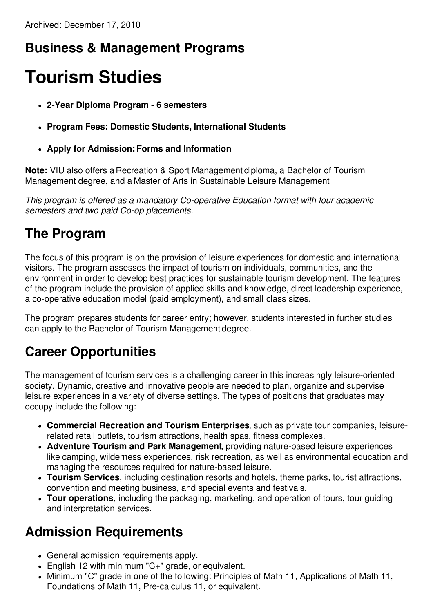### **Business & Management Programs**

# **Tourism Studies**

- **2-Year Diploma Program - 6 semesters**
- **Program Fees: Domestic Students, International Students**
- **Apply for Admission:Forms and Information**

**Note:** VIU also offers a Recreation & Sport Management diploma, a Bachelor of Tourism Management degree, and a Master of Arts in Sustainable Leisure Management.

*This program is offered as a mandatory Co-operative Education format with four academic semesters and two paid Co-op placements.*

#### **The Program**

The focus of this program is on the provision of leisure experiences for domestic and international visitors. The program assesses the impact of tourism on individuals, communities, and the environment in order to develop best practices for sustainable tourism development. The features of the program include the provision of applied skills and knowledge, direct leadership experience, a co-operative education model (paid employment), and small class sizes.

The program prepares students for career entry; however, students interested in further studies can apply to the Bachelor of Tourism Management degree.

#### **Career Opportunities**

The management of tourism services is a challenging career in this increasingly leisure-oriented society. Dynamic, creative and innovative people are needed to plan, organize and supervise leisure experiences in a variety of diverse settings. The types of positions that graduates may occupy include the following:

- **Commercial Recreation and Tourism Enterprises**, such as private tour companies, leisurerelated retail outlets, tourism attractions, health spas, fitness complexes.
- **Adventure Tourism and Park Management**, providing nature-based leisure experiences like camping, wilderness experiences, risk recreation, as well as environmental education and managing the resources required for nature-based leisure.
- **Tourism Services**, including destination resorts and hotels, theme parks, tourist attractions, convention and meeting business, and special events and festivals.
- **Tour operations**, including the packaging, marketing, and operation of tours, tour guiding and interpretation services.

#### **Admission Requirements**

- General admission requirements apply.
- English 12 with minimum "C+" grade, or equivalent.
- Minimum "C" grade in one of the following: Principles of Math 11, Applications of Math 11, Foundations of Math 11, Pre-calculus 11, or equivalent.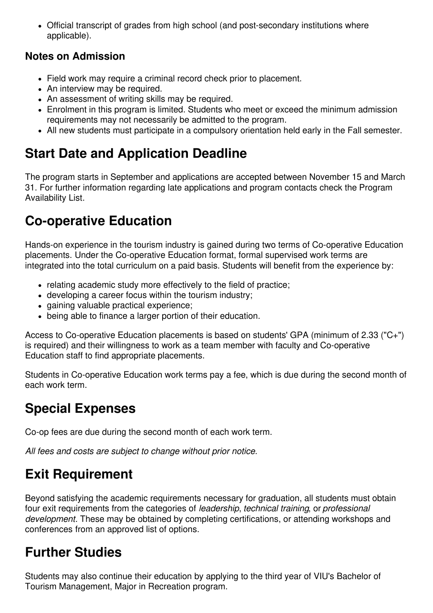Official transcript of grades from high school (and post-secondary institutions where applicable).

#### **Notes on Admission**

- Field work may require a criminal record check prior to placement.
- An interview may be required.
- An assessment of writing skills may be required.
- Enrolment in this program is limited. Students who meet or exceed the minimum admission requirements may not necessarily be admitted to the program.
- All new students must participate in a compulsory orientation held early in the Fall semester.

# **Start Date and Application Deadline**

The program starts in September and applications are accepted between November 15 and March 31. For further information regarding late applications and program contacts check the Program Availability List.

### **Co-operative Education**

Hands-on experience in the tourism industry is gained during two terms of Co-operative Education placements. Under the Co-operative Education format, formal supervised work terms are integrated into the total curriculum on a paid basis. Students will benefit from the experience by:

- relating academic study more effectively to the field of practice;
- developing a career focus within the tourism industry;
- gaining valuable practical experience;
- being able to finance a larger portion of their education.

Access to Co-operative Education placements is based on students' GPA (minimum of 2.33 ("C+") is required) and their willingness to work as a team member with faculty and Co-operative Education staff to find appropriate placements.

Students in Co-operative Education work terms pay a fee, which is due during the second month of each work term.

# **Special Expenses**

Co-op fees are due during the second month of each work term.

*All fees and costs are subject to change without prior notice.*

# **Exit Requirement**

Beyond satisfying the academic requirements necessary for graduation, all students must obtain four exit requirements from the categories of *leadership*, *technical training*, or *professional development*. These may be obtained by completing certifications, or attending workshops and conferences from an approved list of options.

# **Further Studies**

Students may also continue their education by applying to the third year of VIU's Bachelor of Tourism Management, Major in Recreation program.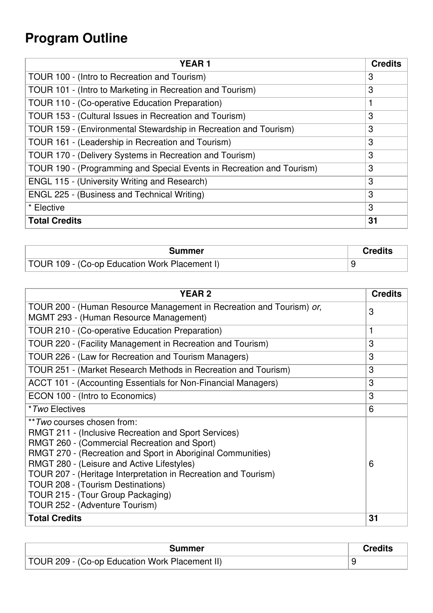# **Program Outline**

| <b>YEAR1</b>                                                          | <b>Credits</b> |
|-----------------------------------------------------------------------|----------------|
| TOUR 100 - (Intro to Recreation and Tourism)                          | 3              |
| TOUR 101 - (Intro to Marketing in Recreation and Tourism)             | 3              |
| TOUR 110 - (Co-operative Education Preparation)                       |                |
| TOUR 153 - (Cultural Issues in Recreation and Tourism)                | 3              |
| TOUR 159 - (Environmental Stewardship in Recreation and Tourism)      | 3              |
| TOUR 161 - (Leadership in Recreation and Tourism)                     | 3              |
| TOUR 170 - (Delivery Systems in Recreation and Tourism)               | 3              |
| TOUR 190 - (Programming and Special Events in Recreation and Tourism) | 3              |
| <b>ENGL 115 - (University Writing and Research)</b>                   | 3              |
| ENGL 225 - (Business and Technical Writing)                           | 3              |
| * Elective                                                            | 3              |
| <b>Total Credits</b>                                                  | 31             |

| Summer                                        | Credits |
|-----------------------------------------------|---------|
| TOUR 109 - (Co-op Education Work Placement I) |         |

| <b>YEAR2</b>                                                                                                                                                                                                                                                                                                                                                                                                                                 | <b>Credits</b> |
|----------------------------------------------------------------------------------------------------------------------------------------------------------------------------------------------------------------------------------------------------------------------------------------------------------------------------------------------------------------------------------------------------------------------------------------------|----------------|
| TOUR 200 - (Human Resource Management in Recreation and Tourism) or,<br>MGMT 293 - (Human Resource Management)                                                                                                                                                                                                                                                                                                                               | 3              |
| TOUR 210 - (Co-operative Education Preparation)                                                                                                                                                                                                                                                                                                                                                                                              | 1              |
| TOUR 220 - (Facility Management in Recreation and Tourism)                                                                                                                                                                                                                                                                                                                                                                                   | 3              |
| TOUR 226 - (Law for Recreation and Tourism Managers)                                                                                                                                                                                                                                                                                                                                                                                         | 3              |
| TOUR 251 - (Market Research Methods in Recreation and Tourism)                                                                                                                                                                                                                                                                                                                                                                               | 3              |
| ACCT 101 - (Accounting Essentials for Non-Financial Managers)                                                                                                                                                                                                                                                                                                                                                                                | 3              |
| ECON 100 - (Intro to Economics)                                                                                                                                                                                                                                                                                                                                                                                                              | 3              |
| <i>*Two</i> Electives                                                                                                                                                                                                                                                                                                                                                                                                                        | 6              |
| ** <i>Two</i> courses chosen from:<br><b>RMGT 211 - (Inclusive Recreation and Sport Services)</b><br>RMGT 260 - (Commercial Recreation and Sport)<br>RMGT 270 - (Recreation and Sport in Aboriginal Communities)<br>RMGT 280 - (Leisure and Active Lifestyles)<br>TOUR 207 - (Heritage Interpretation in Recreation and Tourism)<br>TOUR 208 - (Tourism Destinations)<br>TOUR 215 - (Tour Group Packaging)<br>TOUR 252 - (Adventure Tourism) | 6              |
| <b>Total Credits</b>                                                                                                                                                                                                                                                                                                                                                                                                                         | 31             |

| <b>Summer</b>                                  | <b>Credits</b> |
|------------------------------------------------|----------------|
| TOUR 209 - (Co-op Education Work Placement II) |                |